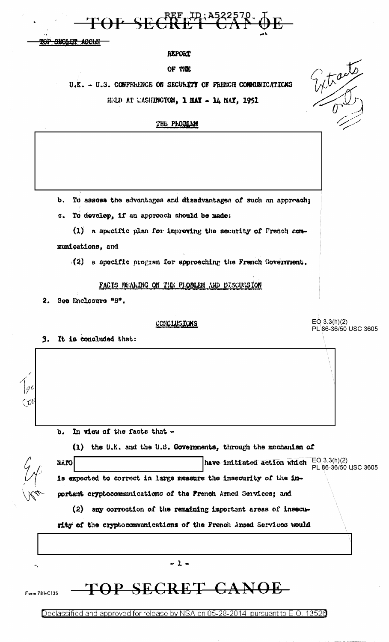

т<del>ор эвсил</del> <del>acom</del>

### REPORT

#### OF THE

U.K. - U.S. CONFERENCE ON SECURITY OF PRENCH COMMUNICATIONS HELD AT EASHINGTON, 1 HAY - 14 NAY, 1951

THE PRODIAN

**.** To assess the advantages and disadvantages of such an appreach;

To develop, if an approach should be made:  $\mathbf{c}$ .

(1) a specific plan for improving the security of French communications, and

(2) a specific program for approaching the French Government.

FACTS BEALDG ON THE PROBLEM AND DISCUSSION

See Enclosure "8".  $2<sub>1</sub>$ 

#### CONCLUSIONS

 $EO 3.3(h)(2)$ PL 86-36/50 USC 3605

Whate

It is concluded that:  $3.$ 

|  |  | b. In view of the facts that - |  |
|--|--|--------------------------------|--|
|  |  |                                |  |

(1) the U.K. and the U.S. Governments, through the mochanism of

| O1'nM |                                                                   | have initiated action which | $EQ$ 3.3(h)(2)<br>PL 86-36/50 USC 3605 |
|-------|-------------------------------------------------------------------|-----------------------------|----------------------------------------|
|       | is expected to correct in large measure the insecurity of the im- |                             |                                        |
|       | portant cryptocommunications of the French Armed Services; and    |                             |                                        |

(2) any correction of the remaining important areas of insecu-

rity of the cryptocommunications of the French Amed Services would

 $-1-$ TOP SECRET CANOE Form 781-C135

Declassified and approved for release by NSA on 05-28-2014 pursuant to E.O. 13526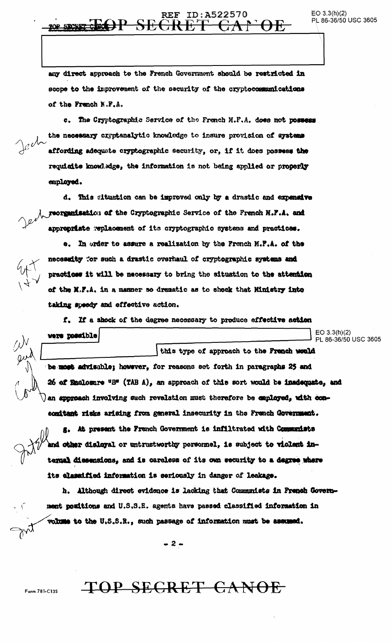### **REF ID:A522570** <del>CR E</del>

any direct approach to the French Government should be restricted in scope to the improvement of the security of the cryptocommunications of the French N.F.A.

c. The Cryptographic Service of the French M.F.A. does not possess the necessary cryptenalytic knowledge to insure provision of systems affording adequate cryptographic security, or, if it does possess the requisite knowledge, the information is not being applied or properly employed.

d. This gituation can be improved only by a drastic and expensive reorganisation of the Cryptographic Service of the French N.F.A. and appropriate replacement of its cryptographic systems and practices.

e. In order to assure a realization by the French M.F.A. of the necessity "or such a drastic overhaul of cryptographic systems and practices it will be necessary to bring the situation to the attention of the N.F.A. in a manner so dramatic as to shock that Ministry into taking speedy and effective action.

f. If a shock of the degree necessary to produce effective action

 $EO$  3.3(h)(2) were possible PL 86-36/50 USC 3605 this type of approach to the French would

be most advisable; however, for reasons set forth in paragraphs 25 and 26 of Enclosure "B" (TAB A), an approach of this sort would be insdequate, and an approach involving such revalation must therefore be exployed, with concomitant risks arising from general insecurity in the French Government.

g. At present the French Government is infiltrated with Communists and other disloyal or untrustworthy personnel, is subject to violent intermal diesensions, and is careless of its own security to a degree where its classified information is seriously in danger of leakage.

h. Although direct evidence is lacking that Communists in French Government positions and U.S.S.R. agents have passed classified information in volume to the U.S.S.R., such passage of information must be assumed.

 $-2-$ 

TOP SECRET CANOE

Form 781-C135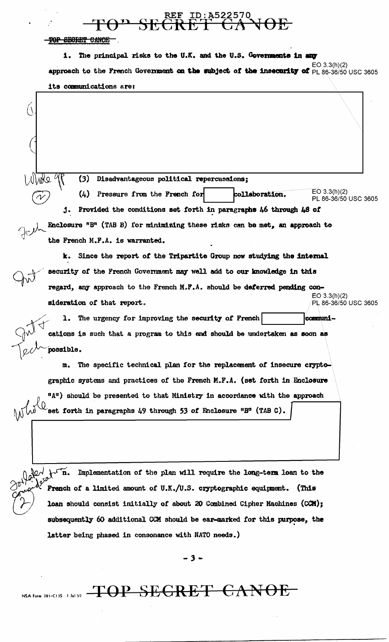<del>TAP S</del>

TOP SECRET CANOE

 $(\lambda$ 

1. The principal risks to the U.K. and the U.S. Governments in any  $EO(3.3(h)(2)$ approach to the French Government on the subject of the insecurity of PL 86-36/50 USC 3605 its communications are:

(3) Disadvantageous political repercussions;

 $EO 3.3(h)(2)$  $(4)$  Pressure from the French for collaboration. PL 86-36/50 USC 3605 j. Provided the conditions set forth in paragraphs 46 through 48 of Enclosure "B" (TAB B) for minimizing these risks can be met, an approach to

the French M.F.A. is warranted.

k. Since the report of the Tripartite Group now studying the internal security of the French Government may well add to our knowledge in this regard, any approach to the French M.F.A. should be deferred pending con- $EO 3.3(h)(2)$ sideration of that report. PL 86-36/50 USC 3605

The urgency for improving the security of French communiı. cations is such that a program to this end should be undertaken as soon as possible.

The specific technical plan for the replacement of insecure cryptom. graphic systems and practices of the French M.F.A. (set forth in Enclosure "A") should be presented to that Ministry in accordance with the approach set forth in paragraphs 49 through 53 of Enclosure  $B^n$  (TAB C).

later tri Implementation of the plan will require the long-term loan to the French of a limited amount of U.K./U.S. cryptographic equipment. (This loan should consist initially of about 20 Combined Cipher Machines (CCM); subsequently 60 additional CCM should be ear-marked for this purpose, the latter being phased in consonance with NATO needs.)

 $-3-$ 

NSA Form 781-C13S 1 Jul 52 TOP SEGRET GANOE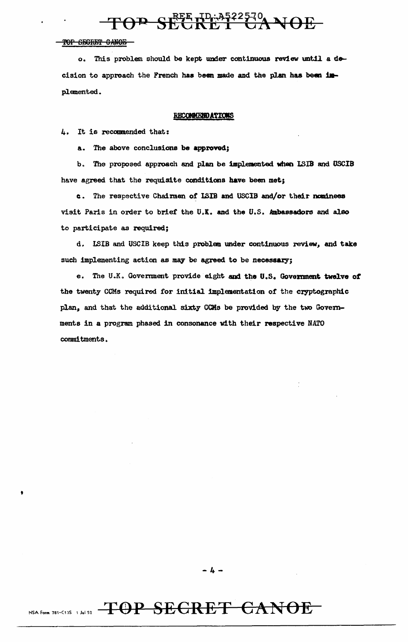$T\Theta$ <sup> $\mathbf{P}$ </sup> SEE  $R_{\mathrm{L}}^{\mathrm{REE}}$  t<sup>D</sup> $\mathbb{R}^{3522570}$  NOE

#### TOP SECRET CANOE

'

o. This problem should be kept under continuous review until a decision to approach the French has been made and the plan has been implemented.

#### **RECOMMENDATIONS**

4. It is recommended that:

a. The above conclusions be approved;

b. The proposed approach and plan be implemented when LSIB and USCIB have agreed that the requisite conditions have been met;

c. The respective Chairmen of ISIB and USCIB and/or their nominees visit Paris in order to brief the U.K. and the U.S. Ambassadors and also to participate as required;

d. WIB and USCIB keep this problan under continuous review, and take such implementing action as may be agreed to be necessary;

e. The U.K. Government provide eight and the U.S. Government twelve of the twenty CCMs required for initial implementation of the cryptographic plan, and that the additional sixty CCMs be provided by the two Governments in a program phased in consonance with their respective NATO commitments.

# NSA Form 781-C135 1 Jul 52 TOP SEGRET CANOE

-4-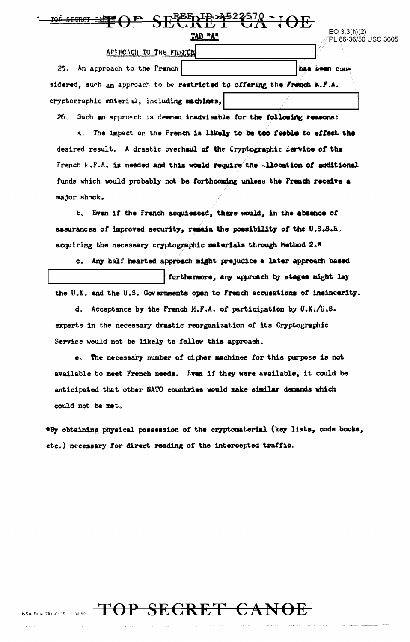| EO 3.3(h)(2)         |  |
|----------------------|--|
| PL 86-36/50 USC 3605 |  |

#### APPROACH TO THE FREECH

25. An approach to the French has been considered, such an approach to be restricted to offering the French A.F.A. cryptographic material, including machines,

TAB "A"

**EEEDIR: 4522570 - JOE** 

26. Such an approach is deemed inadvisable for the following reasons:

a. The impact on the French is likely to be too feeble to effect the desired result. A drastic overhaul of the Cryptographic Service of the French K.F.A. is needed and this would require the allocation of additional funds which would probably not be forthcoming unless the French receive a major shock.

b. Even if the French acquiesced, there would, in the absence of assurances of improved security, remain the possibility of the U.S.S.R. acquiring the necessary cryptographic materials through Nethod 2.\*

c. Any half hearted approach might prejudice a later approach based furthermore, any approach by stages might lay the U.K. and the U.S. Governments open to French accusations of insincerity.

d. Acceptance by the French M.F.A. of participation by U.K./U.S. experts in the necessary drastic reorganization of its Cryptographic Service would not be likely to follow this approach.

e. The necessary number of cipher machines for this purpose is not available to meet French needs. Even if they were available, it could be anticipated that other NATO countries would make similar demands which could not be met.

\*By obtaining physical possession of the cryptomaterial (key lists, code books, etc.) necessary for direct reading of the intercepted traffic.

# NSA Form 781-C13S 1 Jul S2 TOP SECRET CANOE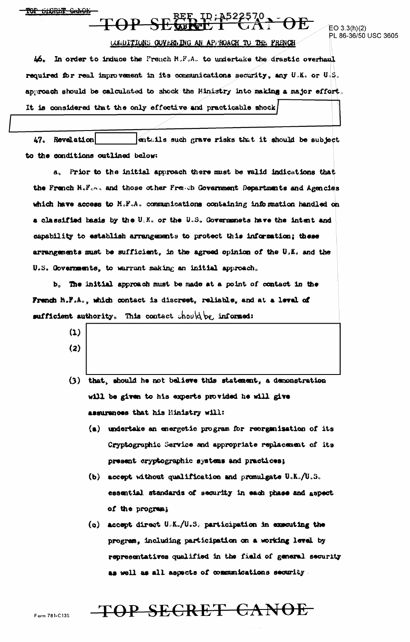TOP SHORET GANOL

PL 86-36/50 USC 3605

#### CONDITIONS GOVERNING AN APPROACH TO THE FRENCH

46. In order to induce the French M.F.A. to undertake the drastic overhaul required for real improvement in its communications security, any U.K. or U.S. approach should be calculated to shock the Hinistry into making a major effort. It is considered that the only effective and practicable shock

entails such grave risks that it should be subject 47. Revelation to the conditions outlined below:

a. Prior to the initial approach there must be valid indications that the French N.F.A. and those other French Government Departments and Agencies which have access to M.F.A. communications containing information handled on a classified basis by the U.K. or the U.S. Governments have the intent and capability to establish arrangements to protect this information; these arrangements must be sufficient, in the agreed opinion of the U.K. and the U.S. Governments, to warrant making an initial approach.

b. The initial approach must be made at a point of contact in the French M.F.A., which contact is discreet, reliable, and at a level of sufficient authority. This contact  $\text{ch}o\mu\phi$  of  $\text{im}o\text{-rad}$ :

- $(1)$  $(2)$
- (3) that, should he not believe this statement, a demonstration will be given to his experts provided he will give assurences that his Ministry will:
	- (a) undertake an energetic program for reorganisation of its Cryptographic Service and appropriate replacement of its present cryptographic systems and practices;
	- (b) accept without qualification and promulgate U.K./U.S. essential standards of security in each phase and aspect of the program;
	- (c) accept direct  $U_cK_c/U_sS_c$  participation in executing the program, including participation on a working level by representatives qualified in the field of general security as well as all aspects of communications security.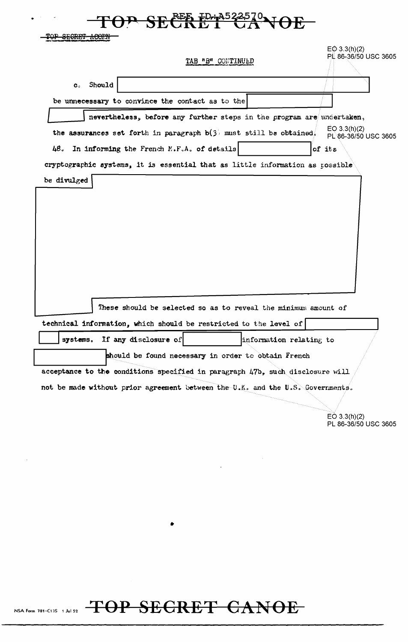|                |                                                  | TAB "B" CONTINUED                                                              | E@3.3(h)(2)<br>PL 86-36/50 USC 3605    |
|----------------|--------------------------------------------------|--------------------------------------------------------------------------------|----------------------------------------|
| $\mathbf{c}_c$ | Should                                           |                                                                                |                                        |
|                | be unnecessary to convince the contact as to the |                                                                                |                                        |
|                |                                                  | nevertheless, before any further steps in the program are undertaken,          |                                        |
|                |                                                  | the assurances set forth in paragraph $b(3)$ must still be obtained.           | EQ $3.3(h)(2)$<br>PL 86-36/50 USC 3605 |
|                | 48. In informing the French M.F.A. of details    |                                                                                | of its                                 |
| be divulged    |                                                  | cryptographic systems, it is essential that as little information as possible  |                                        |
|                |                                                  |                                                                                |                                        |
|                |                                                  |                                                                                |                                        |
|                |                                                  |                                                                                |                                        |
|                |                                                  | These should be selected so as to reveal the minimum amount of                 |                                        |
| systems.       | If any disclosure of                             | technical information, which should be restricted to the level of              | information relating to                |
|                |                                                  | should be found necessary in order to obtain French                            |                                        |
|                |                                                  | acceptance to the conditions specified in paragraph 47b, such disclosure will  |                                        |
|                |                                                  | not be made without prior agreement between the U.K. and the U.S. Governments. |                                        |
|                |                                                  |                                                                                |                                        |
|                |                                                  |                                                                                | EO $3.3(h)(2)$<br>PL 86-36/50 USC 3605 |
|                |                                                  |                                                                                |                                        |
|                |                                                  |                                                                                |                                        |
|                |                                                  |                                                                                |                                        |
|                |                                                  |                                                                                |                                        |
|                |                                                  |                                                                                |                                        |
|                |                                                  |                                                                                |                                        |
|                |                                                  |                                                                                |                                        |

NSA Form 781-C135 1 Jul 52 TOP SEGRET CANOE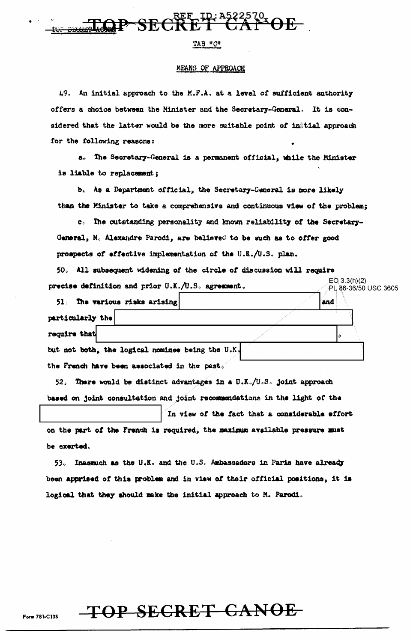

#### TAB "C"

#### MEANS OF APPROACH

49. An initial approach to the M.F.A. at a level of sufficient authority offers a choice between the Minister and the Secretary-General. It is considered that the latter would be the more suitable point of instial approach for the following reasons:

a. The Secretary-General is a permanent official, while the Minister is liable to replacement;

b. As a Department official, the Secretary-General is more likely than the Minister to take a comprehensive and continuous view of the problem;

c. The outstanding personality and known reliability of the Secretary-General, M. Alexandre Parodi, are believed to be such as to offer good prospects of effective implementation of the U.K./U.S. plan.

50. All subsequent widening of the circle of discussion will require precise definition and prior  $0.K.\wedge 0.S.$  agreement.  $EQ$  3.3(h)(2) PL 86-36/50 USC 3605

| 51. The various risks arising                    | and |
|--------------------------------------------------|-----|
| particularly the                                 |     |
| require that                                     |     |
| but not both, the logical nominee being the U.K. |     |

the French have been associated in the past.

52. There would be distinct advantages in a U.K./U.S. joint approach based on joint consultation and joint recommendations in the light of the

In view of the fact that a considerable effort on the part of the French is required, the maximum available pressure must be exerted.

53. Inasmuch as the U.K. and the U.S. Ambassadors in Paris have already been apprised of this problem and in view of their official positions, it is logical that they should make the initial approach to M. Parodi.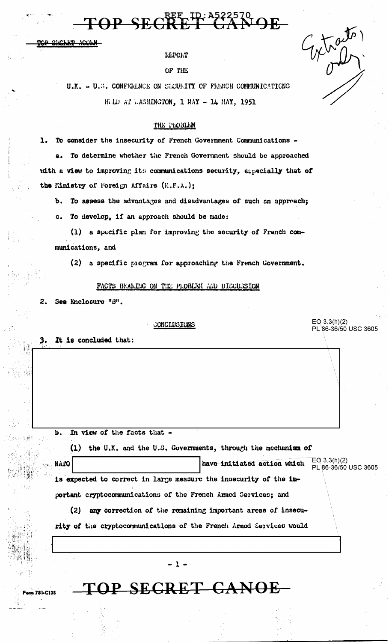TOP SECRET C

SICLET

**REPORT** 

OF THE

U.K. - U.S. CONFFRINCE ON SECURITY OF FRENCH COMMUNICATIONS HELD AT LASHINGTON, 1 MAY - 14 MAY, 1951

#### THE PROBLEM

1. To consider the insecurity of French Government Communications -

a. To determine whether the French Government should be approached with a view to improving its communications security, especially that of the Ministry of Foreign Affairs (E.F.A.);

b. To assess the advantages and disadvantages of such an approach;

c. To develop, if an approach should be made:

(1) a specific plan for improving the security of French communications, and

(2) a specific program for approaching the French Government.

#### FACTS BEALING ON THE PLOBLEM AND DISCUSSION

See Enclosure "B". 2.

b.

NAIO

**781-C135** 

CONCLUSIONS

 $E$ O 3.3(h)(2) PL 86-36/50 USC 3605

3. It is concluded that:

|  |  | In view of the facts that - |  |
|--|--|-----------------------------|--|
|  |  |                             |  |

(1) the U.K. and the U.S. Governments, through the mochanism of

have initiated action which

 $EO 3.3(h)(2)$ PL 86-36/50 USC 3605

is expected to correct in large measure the insecurity of the important cryptocommunications of the French Armed Services; and

(2) any correction of the remaining important areas of insecurity of the cryptocommunications of the French Armed Services would

- 1 -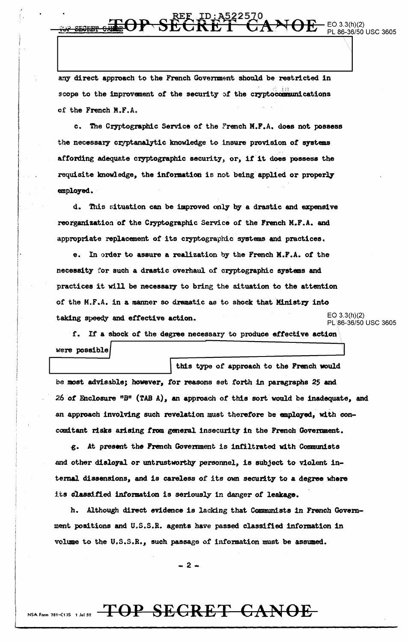any direct approach to the French Government should be restricted in scope to the improvement of the security of the cryptocommunications of the French M.F.A.

 $-EO.3.3(h)(2)$ 

PL 86-36/50 USC 3605

t'

and the company of the company of the company of the company of the company of the company of the company of the company of the company of the company of the company of the company of the company of the company of the comp I I  $\mathbb{R}$ 

c. The Cryptographic Service of the French M.F .A. does not possess the necessary cryptanalytic knowledge to insure provision of systems affording adequate cryptographic security, or, if it does possess the requisite knowledge, the information is not being applied or properly employed.

d. This situation can be improved only by a drastic and expensive reorganization *ot* the Cryptographic Service of the French M.F .A. and appropriate replacement of its cryptographic systems and practices.

e. In order to assure a realization by the French M.F.A. of the necessity for such a drastic overhaul of cryptographic systems and practices it will be necessary to bring the situation to the attention of the M.F.A. in a manner so dramatic as to shock that Ministry into taking speedy and effective action.  $EQ 3.3(h)(2)$ PL\86-36/50 USC 3605

f. If a shock of the degree necessary to produce effective action were possible

this type of approach to the French would be most advissble; however, tor reasons set .forth in paragraphs *25* and 26 *ot* Faclosure "B" (TAB A), an approach *ot* this sort. would be inadequate, and an approach involving such revelation must therefore be employed, with concomitant risks arising from general insecurity in the French Government.

.g.. At present the French Govemment is infiltrated with Conmmists and other disloyal or untrustworthy personnel, is subject to violent internal dissensions, and is careless of its own security to a degree where lts claasitied information is seriously in danger of leakage.

h. Although direct evidence is lacking that Communists in French Govemment positions and U.S.S.R. agents have passed classified information in volume to the u.s.s.R., such passage of information must be assumed.

 $-2-$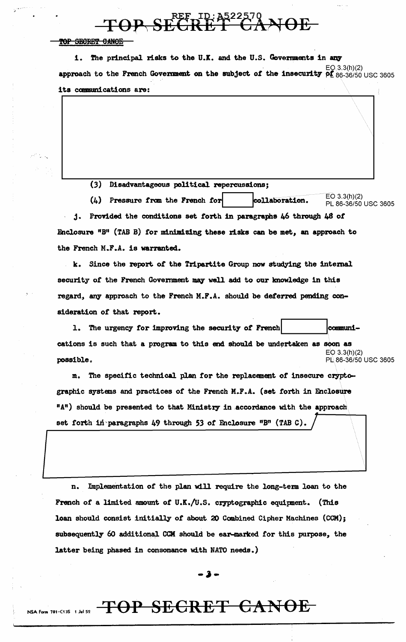**TOP SECTED: A522570** 

TOP SECRET CANOE

1. The principal risks to the U.K. and the U.S. Governments in any approach to the French Government on the subject of the insecurity  $p_{\text{L}}^{\text{EQ}}$  3.3(h)(2) usc 3605 its communications are:

(3) Disadvantageous political. repercussions;

(4) Pressure from the French for collaboration.  $E$ O 3.3(h)(2)  $E$  16-36/50 USC 3605

 $\|\nabla\|$ 

j. Provided the conditions set forth in paragraphs 46 through 48 of Enclosure  $IB<sup>H</sup>$  (TAB B) for minimizing these risks can be met, an approach to the French M.F.A. is warranted.

k. Since the report of the Tripartite Group now studying the internal security of the French Government may well add to our knowledge in this regard, any approach to the French M.F.A. should be deferred pending consideration of that report.

1. The urgency for improving the security of French.  $|$  communications is such that a program to this end should be undertaken as soon as EO 3.3(h)(2)  $\bf{possible.}$  PL 86-36/50 USC 3605

m. The specific technical plan for the replacement of insecure cryptographic systems and practices of the French M.F.A. (set forth in Enclosure "A") should be presented to that Ministry in accordance with the approach set forth in paragraphs 49 through 53 of Enclosure "B" (TAB C).

n. Implementation of the plan will require the long-term loan to the French of a limited amount of U.K./U.S. cryptographic equipment. (This loan should consist initially of about 20 Combined Cipher Machines (CCM); subsequently 60 additional CCM should be ear-marked for this purpose, the latter being phased in consonance with NATO needs.)

**-J-**

# NSA Form 781-C135 1 Jul 52 **TOP SECRET CANOE**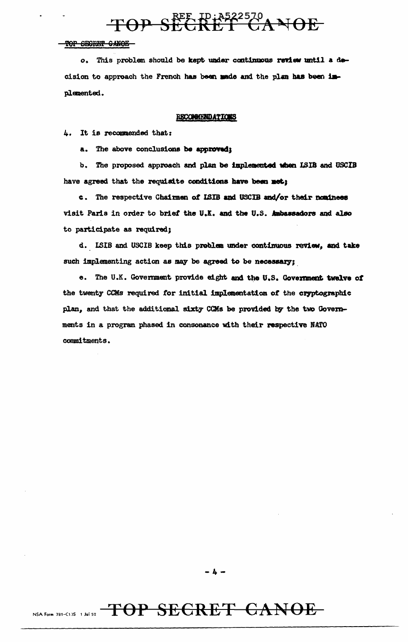

TOP SEGRET GANOE

o. This problem should be kept under continuous review until a decision to approach the French has been made and the plan has been implemented.

#### **RECOMMENDATIONS**

4. It is recommended that:

a. The above conclusions be approved;

The proposed approach and plan be implemented when ISIB and USCIB b. have agreed that the requisite conditions have been met;

c. The respective Chairmen of ISIB and USCIB and/or their nominees visit Paris in order to brief the U.X. and the U.S. Ambassadors and also to participate as required;

d. LSIB and USCIB keep this problem under continuous review, and take such implementing action as may be agreed to be necessary;

e. The U.K. Government provide eight and the U.S. Government twelve of the twenty CCMs required for initial implementation of the cryptographic plan, and that the additional sixty CCMs be provided by the two Governments in a program phased in consonance with their respective NATO commitments.

-4-

## NSA Form 781-C13S 1 Jul 52 TOP SEGRET CANOE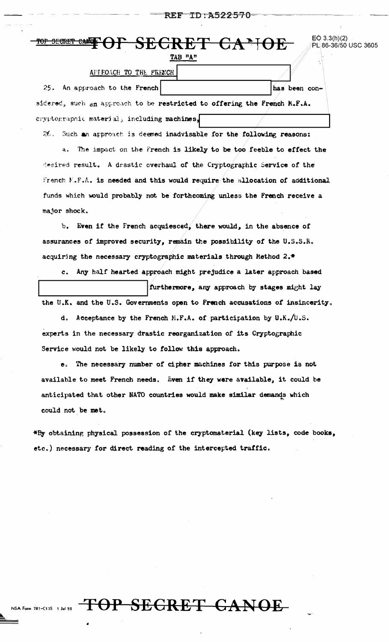#### ID:A522570 REF

 $EQ$  3.3(h)(2)

PL 86-36/50 USC 3605

| TOF SECRET CANOE |  |
|------------------|--|
|                  |  |

TAB "A"

| APPEOACH TO THE FRENCH                                                   |               |
|--------------------------------------------------------------------------|---------------|
| 25. An approach to the French                                            | has been con- |
| sidered, such an approach to be restricted to offering the French M.F.A. |               |
| cryptographic material, including machines,                              |               |

26. Such an approach is deemed inadvisable for the following reasons: a. The impact on the French is likely to be too feeble to effect the desired result. A drastic overhaul of the Cryptographic Service of the French  $K.F.A.$  is needed and this would require the allocation of additional funds which would probably not be forthcoming unless the French receive a major shock.

b. Even if the French acquiesced, there would, in the absence of assurances of improved security, remain the possibility of the U.S.S.R. acquiring the necessary cryptographic materials through Method 2.\*

Any half hearted approach might prejudice a later approach based  $c_{\star}$ furthermore, any approach by stages might lay the U.K. and the U.S. Governments open to French accusations of insincerity.

d. Acceptance by the French M.F.A. of participation by U.K./U.S. experts in the necessary drastic reorganization of its Cryptographic Service would not be likely to follow this approach.

e. The necessary number of cipher machines for this purpose is not available to meet French needs. Even if they were available, it could be anticipated that other NATO countries would make similar demands which could not be met.

\*By obtaining physical possession of the cryptomaterial (key lists, code books, etc.) necessary for direct reading of the intercepted traffic.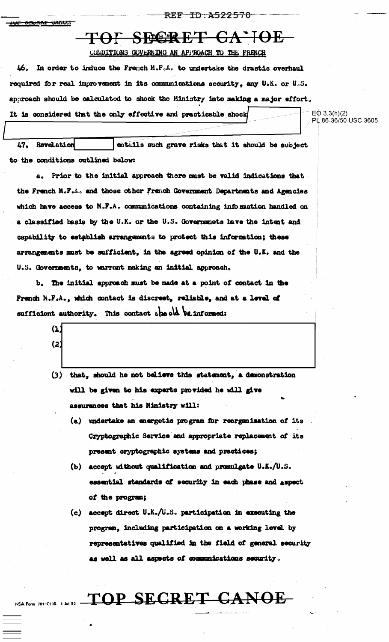ID:A522570 REF

#### <u>JAMA IMMUS</u>

## TOF SECRET CA'IOE

#### CONDITIONS GOVERNING AN APPROACH TO THE FRENCH

In order to induce the French M.F.A. to undertake the drastic overhaul ሥ. required for real improvement in its communications security, any U.K. or U.S. approach should be calculated to shock the Ministry into making a major effort. It is considered that the only effective and practicable shock

 $EO 3.3(h)(2)$ PL 86-36/50 USC 3605

47. entails such grave risks that it should be subject Revelation to the conditions outlined below:

a. Prior to the initial approach there must be valid indications that the French N.F.A. and those other French Government Departments and Agencies which have access to M.F.A. communications containing information handled on a classified basis by the U.K. or the U.S. Governments have the intent and capability to establish arrangements to protect this information; these arrangements must be sufficient, in the agreed opinion of the U.K. and the U.S. Governments, to warrant making an initial approach.

b. The initial approach must be made at a point of contact in the French M.F.A., which contact is discrest, reliable, and at a level of sufficient authority. This contact she old be informed:

> $(1)$  $(2)$

NSA Form 781-C13S 1 Jul 52. -

- (3) that, should he not believe this statement, a demonstration will be given to his experts provided he will give assurences that his Ministry will:
	- (a) undertake an energetic program for reorganisation of its Cryptographic Service and appropriate replacement of its present cryptographic systems and practices;
	- (b) accept without qualification and promulgate U.K./U.S. essential standards of security in each phase and aspect of the program;
	- (c) accept direct U.K./U.S. participation in executing the program, including participation on a working level by representatives qualified in the field of general security as well as all aspects of communications security.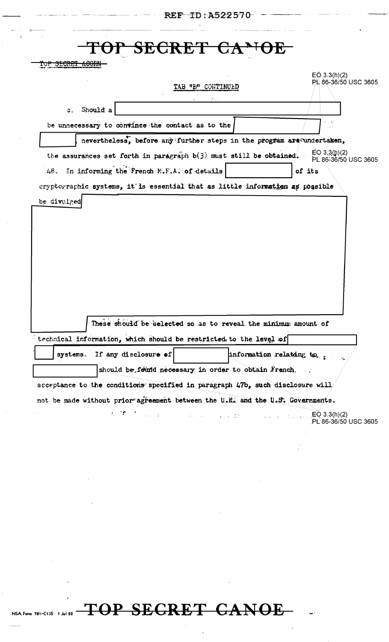|                             | <b>REF ID:A522570</b>                                                                                                                                                                                                                                                                            |                                          |
|-----------------------------|--------------------------------------------------------------------------------------------------------------------------------------------------------------------------------------------------------------------------------------------------------------------------------------------------|------------------------------------------|
|                             |                                                                                                                                                                                                                                                                                                  |                                          |
|                             | SECRET                                                                                                                                                                                                                                                                                           |                                          |
| <del>TOP SECRET ACORN</del> |                                                                                                                                                                                                                                                                                                  |                                          |
|                             | TAB "B" CONTINUED                                                                                                                                                                                                                                                                                | $E$ (0,3.3(h)(2)<br>PL 86-36/50 USC 3605 |
|                             |                                                                                                                                                                                                                                                                                                  |                                          |
| Should a<br><b>C.</b>       |                                                                                                                                                                                                                                                                                                  |                                          |
|                             | be unnecessary to convince the contact as to the                                                                                                                                                                                                                                                 | $\cdots$                                 |
|                             | nevertheless, before any further steps in the program are undertaken,                                                                                                                                                                                                                            |                                          |
|                             | the assurances set forth in paragraph $b(3)$ must still be obtained.                                                                                                                                                                                                                             | EO $3,3(h)(2)$<br>PL 86-36/50 USC 3605   |
|                             | 48. In informing the French M.F.A. of details                                                                                                                                                                                                                                                    | of its                                   |
|                             | cryptographic systems, it is essential that as little information as possible                                                                                                                                                                                                                    |                                          |
| be divulged                 |                                                                                                                                                                                                                                                                                                  |                                          |
|                             | These should be selected so as to reveal the minimum amount of                                                                                                                                                                                                                                   |                                          |
|                             | technical information, which should be restricted to the level of                                                                                                                                                                                                                                |                                          |
| systems.                    | If any disclosure of                                                                                                                                                                                                                                                                             | information relating to __               |
|                             | should be feund necessary in order to obtain French.                                                                                                                                                                                                                                             |                                          |
|                             | acceptance to the conditions specified in paragraph 47b, such disclosure will                                                                                                                                                                                                                    |                                          |
|                             | not be made without prior agreement between the U.K. and the U.S. Governments.                                                                                                                                                                                                                   |                                          |
|                             | $\mathbb{R}^n$ , $\mathbb{R}^n$ , $\mathbb{R}^n$ , $\mathbb{R}^n$ , $\mathbb{R}^n$ , $\mathbb{R}^n$ , $\mathbb{R}^n$ , $\mathbb{R}^n$ , $\mathbb{R}^n$ , $\mathbb{R}^n$ , $\mathbb{R}^n$ , $\mathbb{R}^n$ , $\mathbb{R}^n$ , $\mathbb{R}^n$ , $\mathbb{R}^n$ , $\mathbb{R}^n$ , $\mathbb{R}^n$ , | PL 86-36/50 USC 3605                     |
|                             |                                                                                                                                                                                                                                                                                                  |                                          |
|                             |                                                                                                                                                                                                                                                                                                  |                                          |
|                             |                                                                                                                                                                                                                                                                                                  |                                          |

# NSA Form 781-C13S 1 Juli 52 TOP SECRET CANOE